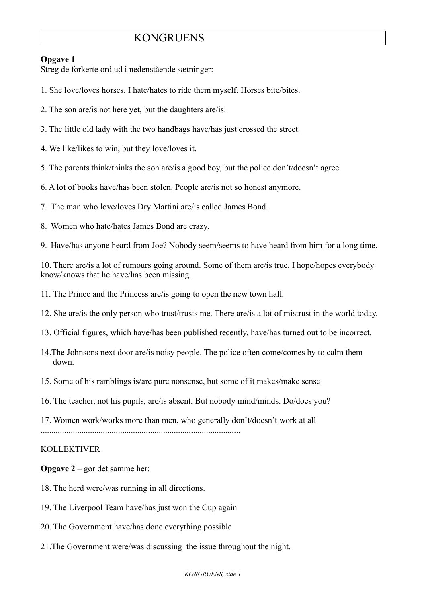# **KONGRUENS**

### **Opgave 1**

Streg de forkerte ord ud i nedenstående sætninger:

- 1. She love/loves horses. I hate/hates to ride them myself. Horses bite/bites.
- 2. The son are/is not here yet, but the daughters are/is.
- 3. The little old lady with the two handbags have/has just crossed the street.
- 4. We like/likes to win, but they love/loves it.
- 5. The parents think/thinks the son are/is a good boy, but the police don't/doesn't agree.
- 6. A lot of books have/has been stolen. People are/is not so honest anymore.
- 7. The man who love/loves Dry Martini are/is called James Bond.
- 8. Women who hate/hates James Bond are crazy.
- 9. Have/has anyone heard from Joe? Nobody seem/seems to have heard from him for a long time.

10. There are/is a lot of rumours going around. Some of them are/is true. I hope/hopes everybody know/knows that he have/has been missing.

- 11. The Prince and the Princess are/is going to open the new town hall.
- 12. She are/is the only person who trust/trusts me. There are/is a lot of mistrust in the world today.
- 13. Official figures, which have/has been published recently, have/has turned out to be incorrect.
- 14.The Johnsons next door are/is noisy people. The police often come/comes by to calm them down.
- 15. Some of his ramblings is/are pure nonsense, but some of it makes/make sense
- 16. The teacher, not his pupils, are/is absent. But nobody mind/minds. Do/does you?
- 17. Women work/works more than men, who generally don't/doesn't work at all

### KOLLEKTIVER

**Opgave 2** – gør det samme her:

- 18. The herd were/was running in all directions.
- 19. The Liverpool Team have/has just won the Cup again
- 20. The Government have/has done everything possible
- 21.The Government were/was discussing the issue throughout the night.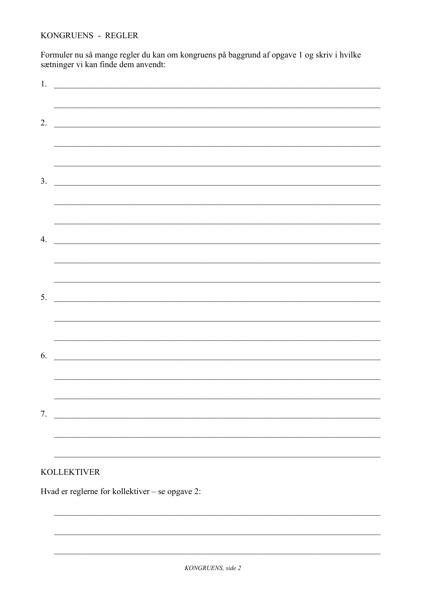KONGRUENS - REGLER

Formuler nu så mange regler du kan om kongruens på baggrund af opgave 1 og skriv i hvilke sætninger vi kan finde dem anvendt:

| 1. | <u> Alexandria de la contrada de la contrada de la contrada de la contrada de la contrada de la contrada de la c</u>                                                                                                                 |
|----|--------------------------------------------------------------------------------------------------------------------------------------------------------------------------------------------------------------------------------------|
|    | <u> 1989 - Johann Stoff, amerikansk politiker (d. 1989)</u>                                                                                                                                                                          |
| 2. | <u> 1989 - Johann Stoff, deutscher Stoffen und der Stoffen und der Stoffen und der Stoffen und der Stoffen und der Stoffen und der Stoffen und der Stoffen und der Stoffen und der Stoffen und der Stoffen und der Stoffen und d</u> |
|    |                                                                                                                                                                                                                                      |
|    | ,我们也不能在这里的时候,我们也不能在这里的时候,我们也不能在这里的时候,我们也不能会在这里的时候,我们也不能会在这里的时候,我们也不能会在这里的时候,我们也不能                                                                                                                                                    |
|    |                                                                                                                                                                                                                                      |
| 3. |                                                                                                                                                                                                                                      |
|    |                                                                                                                                                                                                                                      |
|    |                                                                                                                                                                                                                                      |
| 4. | <u> 1989 - Johann John Stein, marwolaeth a breninn a breninn a breninn a breninn a breninn a breninn a breninn a</u>                                                                                                                 |
|    | <u> 1999 - 1999 - 1999 - 1999 - 1999 - 1999 - 1999 - 1999 - 1999 - 1999 - 1999 - 1999 - 1999 - 1999 - 1999 - 199</u>                                                                                                                 |
|    |                                                                                                                                                                                                                                      |
|    | $5.$ $\overline{\phantom{0}}$                                                                                                                                                                                                        |
|    |                                                                                                                                                                                                                                      |
|    |                                                                                                                                                                                                                                      |
| 6. | <u> 1980 - John Stein, Amerikaansk politiker (</u>                                                                                                                                                                                   |
|    |                                                                                                                                                                                                                                      |
|    |                                                                                                                                                                                                                                      |
|    | $7.$ $\overline{\phantom{a}}$                                                                                                                                                                                                        |
|    |                                                                                                                                                                                                                                      |
|    |                                                                                                                                                                                                                                      |

## **KOLLEKTIVER**

Hvad er reglerne for kollektiver – se opgave 2: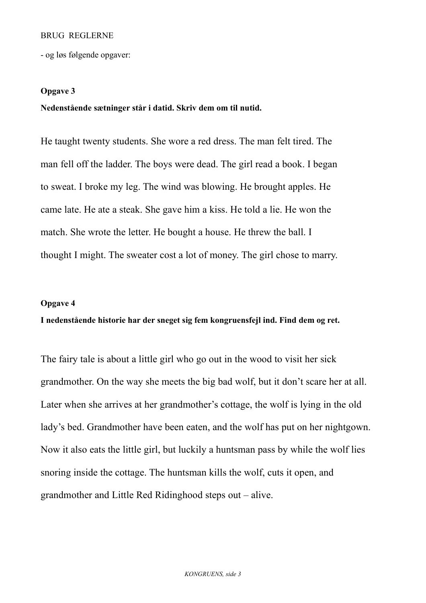### BRUG REGLERNE

- og løs følgende opgaver:

### **Opgave 3**

### **Nedenstående sætninger står i datid. Skriv dem om til nutid.**

He taught twenty students. She wore a red dress. The man felt tired. The man fell off the ladder. The boys were dead. The girl read a book. I began to sweat. I broke my leg. The wind was blowing. He brought apples. He came late. He ate a steak. She gave him a kiss. He told a lie. He won the match. She wrote the letter. He bought a house. He threw the ball. I thought I might. The sweater cost a lot of money. The girl chose to marry.

#### **Opgave 4**

## **I nedenstående historie har der sneget sig fem kongruensfejl ind. Find dem og ret.**

The fairy tale is about a little girl who go out in the wood to visit her sick grandmother. On the way she meets the big bad wolf, but it don't scare her at all. Later when she arrives at her grandmother's cottage, the wolf is lying in the old lady's bed. Grandmother have been eaten, and the wolf has put on her nightgown. Now it also eats the little girl, but luckily a huntsman pass by while the wolf lies snoring inside the cottage. The huntsman kills the wolf, cuts it open, and grandmother and Little Red Ridinghood steps out – alive.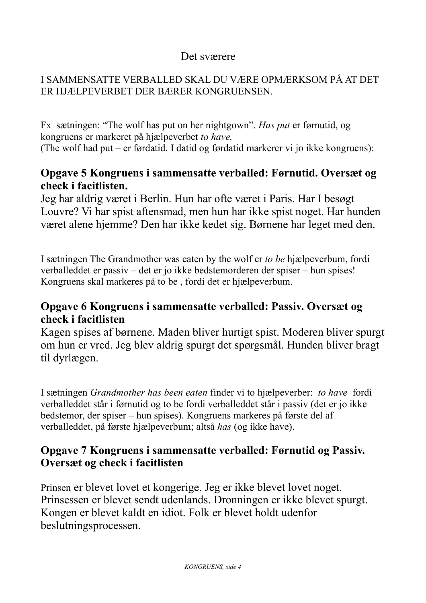# Det sværere

## I SAMMENSATTE VERBALLED SKAL DU VÆRE OPMÆRKSOM PÅ AT DET ER HJÆLPEVERBET DER BÆRER KONGRUENSEN.

Fx sætningen: "The wolf has put on her nightgown". *Has put* er førnutid, og kongruens er markeret på hjælpeverbet *to have.*

(The wolf had put *–* er førdatid*.* I datid og førdatid markerer vi jo ikke kongruens):

## **Opgave 5 Kongruens i sammensatte verballed: Førnutid. Oversæt og check i facitlisten.**

Jeg har aldrig været i Berlin. Hun har ofte været i Paris. Har I besøgt Louvre? Vi har spist aftensmad, men hun har ikke spist noget. Har hunden været alene hjemme? Den har ikke kedet sig. Børnene har leget med den.

I sætningen The Grandmother was eaten by the wolf er *to be* hjælpeverbum, fordi verballeddet er passiv – det er jo ikke bedstemorderen der spiser – hun spises! Kongruens skal markeres på to be , fordi det er hjælpeverbum.

## **Opgave 6 Kongruens i sammensatte verballed: Passiv. Oversæt og check i facitlisten**

Kagen spises af børnene. Maden bliver hurtigt spist. Moderen bliver spurgt om hun er vred. Jeg blev aldrig spurgt det spørgsmål. Hunden bliver bragt til dyrlægen.

I sætningen *Grandmother has been eaten* finder vi to hjælpeverber: *to have* fordi verballeddet står i førnutid og to be fordi verballeddet står i passiv (det er jo ikke bedstemor, der spiser – hun spises). Kongruens markeres på første del af verballeddet, på første hjælpeverbum; altså *has* (og ikke have).

# **Opgave 7 Kongruens i sammensatte verballed: Førnutid og Passiv. Oversæt og check i facitlisten**

Prinsen er blevet lovet et kongerige. Jeg er ikke blevet lovet noget. Prinsessen er blevet sendt udenlands. Dronningen er ikke blevet spurgt. Kongen er blevet kaldt en idiot. Folk er blevet holdt udenfor beslutningsprocessen.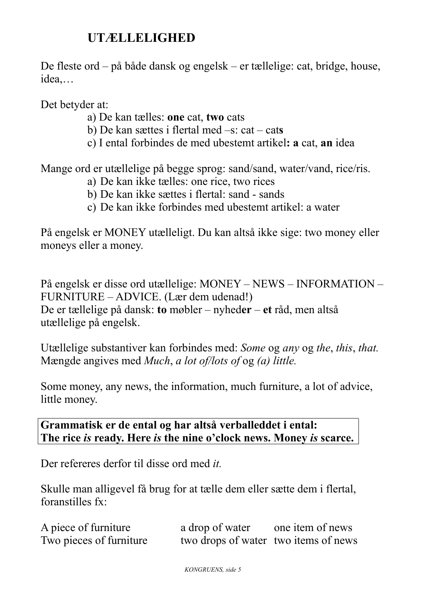# **UTÆLLELIGHED**

De fleste ord – på både dansk og engelsk – er tællelige: cat, bridge, house, idea,…

Det betyder at:

- a) De kan tælles: **one** cat, **two** cats
- b) De kan sættes i flertal med –s: cat cat**s**
- c) I ental forbindes de med ubestemt artikel**: a** cat, **an** idea

Mange ord er utællelige på begge sprog: sand/sand, water/vand, rice/ris.

- a) De kan ikke tælles: one rice, two rices
- b) De kan ikke sættes i flertal: sand sands
- c) De kan ikke forbindes med ubestemt artikel: a water

På engelsk er MONEY utælleligt. Du kan altså ikke sige: two money eller moneys eller a money.

På engelsk er disse ord utællelige: MONEY – NEWS – INFORMATION – FURNITURE – ADVICE. (Lær dem udenad!) De er tællelige på dansk: **to** møbler – nyhed**er** – **et** råd, men altså utællelige på engelsk.

Utællelige substantiver kan forbindes med: *Some* og *any* og *the*, *this*, *that.* Mængde angives med *Much*, *a lot of/lots of* og *(a) little.*

Some money, any news, the information, much furniture, a lot of advice, little money.

**Grammatisk er de ental og har altså verballeddet i ental: The rice** *is* **ready. Here** *is* **the nine o'clock news. Money** *is* **scarce.**

Der refereres derfor til disse ord med *it.*

Skulle man alligevel få brug for at tælle dem eller sætte dem i flertal, foranstilles fx:

| A piece of furniture    | a drop of water                      | one item of news |
|-------------------------|--------------------------------------|------------------|
| Two pieces of furniture | two drops of water two items of news |                  |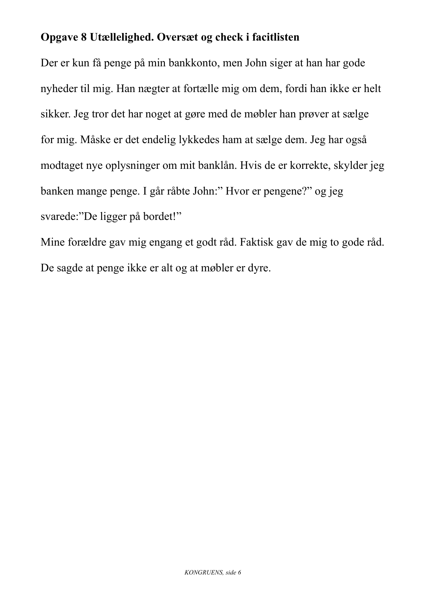# **Opgave 8 Utællelighed. Oversæt og check i facitlisten**

Der er kun få penge på min bankkonto, men John siger at han har gode nyheder til mig. Han nægter at fortælle mig om dem, fordi han ikke er helt sikker. Jeg tror det har noget at gøre med de møbler han prøver at sælge for mig. Måske er det endelig lykkedes ham at sælge dem. Jeg har også modtaget nye oplysninger om mit banklån. Hvis de er korrekte, skylder jeg banken mange penge. I går råbte John:" Hvor er pengene?" og jeg svarede:"De ligger på bordet!"

Mine forældre gav mig engang et godt råd. Faktisk gav de mig to gode råd. De sagde at penge ikke er alt og at møbler er dyre.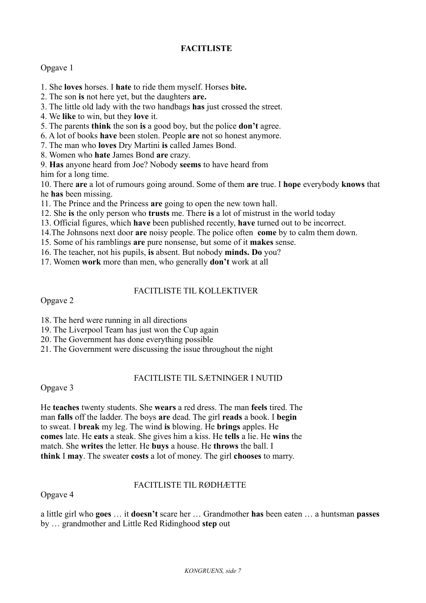## **FACITLISTE**

### Opgave 1

- 1. She **loves** horses. I **hate** to ride them myself. Horses **bite.**
- 2. The son **is** not here yet, but the daughters **are.**
- 3. The little old lady with the two handbags **has** just crossed the street.
- 4. We **like** to win, but they **love** it.
- 5. The parents **think** the son **is** a good boy, but the police **don't** agree.
- 6. A lot of books **have** been stolen. People **are** not so honest anymore.
- 7. The man who **loves** Dry Martini **is** called James Bond.
- 8. Women who **hate** James Bond **are** crazy.
- 9. **Has** anyone heard from Joe? Nobody **seems** to have heard from

him for a long time.

10. There **are** a lot of rumours going around. Some of them **are** true. I **hope** everybody **knows** that he **has** been missing.

- 11. The Prince and the Princess **are** going to open the new town hall.
- 12. She **is** the only person who **trusts** me. There **is** a lot of mistrust in the world today
- 13. Official figures, which **have** been published recently, **have** turned out to be incorrect.
- 14.The Johnsons next door **are** noisy people. The police often **come** by to calm them down.
- 15. Some of his ramblings **are** pure nonsense, but some of it **makes** sense.
- 16. The teacher, not his pupils, **is** absent. But nobody **minds. Do** you?
- 17. Women **work** more than men, who generally **don't** work at all

### FACITLISTE TIL KOLLEKTIVER

Opgave 2

- 18. The herd were running in all directions
- 19. The Liverpool Team has just won the Cup again
- 20. The Government has done everything possible
- 21. The Government were discussing the issue throughout the night

## FACITLISTE TIL SÆTNINGER I NUTID

Opgave 3

He **teaches** twenty students. She **wears** a red dress. The man **feels** tired. The man **falls** off the ladder. The boys **are** dead. The girl **reads** a book. I **begin** to sweat. I **break** my leg. The wind **is** blowing. He **brings** apples. He **comes** late. He **eats** a steak. She gives him a kiss. He **tells** a lie. He **wins** the match. She **writes** the letter. He **buys** a house. He **throws** the ball. I **think** I **may**. The sweater **costs** a lot of money. The girl **chooses** to marry.

## FACITLISTE TIL RØDHÆTTE

Opgave 4

a little girl who **goes** … it **doesn't** scare her … Grandmother **has** been eaten … a huntsman **passes** by … grandmother and Little Red Ridinghood **step** out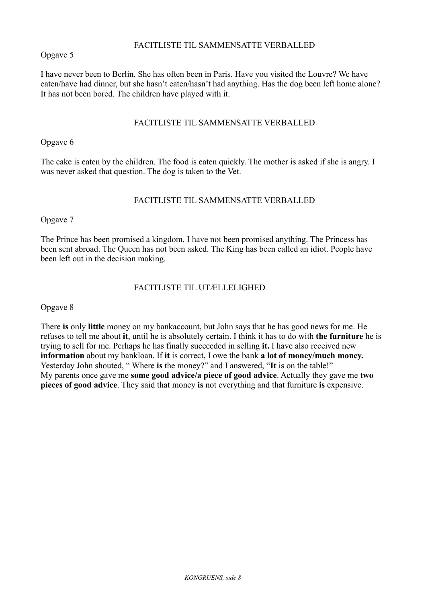### FACITLISTE TIL SAMMENSATTE VERBALLED

Opgave 5

I have never been to Berlin. She has often been in Paris. Have you visited the Louvre? We have eaten/have had dinner, but she hasn't eaten/hasn't had anything. Has the dog been left home alone? It has not been bored. The children have played with it.

### FACITLISTE TIL SAMMENSATTE VERBALLED

Opgave 6

The cake is eaten by the children. The food is eaten quickly. The mother is asked if she is angry. I was never asked that question. The dog is taken to the Vet.

### FACITLISTE TIL SAMMENSATTE VERBALLED

Opgave 7

The Prince has been promised a kingdom. I have not been promised anything. The Princess has been sent abroad. The Queen has not been asked. The King has been called an idiot. People have been left out in the decision making.

### FACITLISTE TIL UTÆLLELIGHED

Opgave 8

There **is** only **little** money on my bankaccount, but John says that he has good news for me. He refuses to tell me about **it**, until he is absolutely certain. I think it has to do with **the furniture** he is trying to sell for me. Perhaps he has finally succeeded in selling **it.** I have also received new **information** about my bankloan. If **it** is correct, I owe the bank **a lot of money/much money.** Yesterday John shouted, " Where **is** the money?" and I answered, "**It** is on the table!" My parents once gave me **some good advice/a piece of good advice**. Actually they gave me **two pieces of good advice**. They said that money **is** not everything and that furniture **is** expensive.